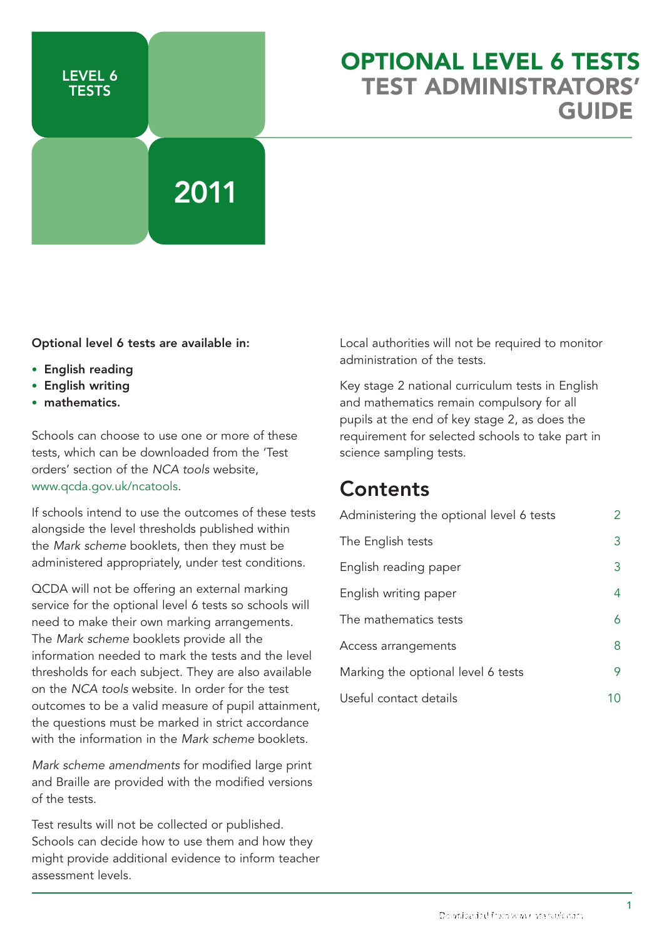

## Optional Level 6 Tests test Administrators' GUIDE

#### Optional level 6 tests are available in:

- English reading
- • English writing
- mathematics.

Schools can choose to use one or more of these tests, which can be downloaded from the 'Test orders' section of the *NCA tools* website, www.qcda.gov.uk/ncatools.

If schools intend to use the outcomes of these tests alongside the level thresholds published within the *Mark scheme* booklets, then they must be administered appropriately, under test conditions.

QCDA will not be offering an external marking service for the optional level 6 tests so schools will need to make their own marking arrangements. The *Mark scheme* booklets provide all the information needed to mark the tests and the level thresholds for each subject. They are also available on the *NCA tools* website. In order for the test outcomes to be a valid measure of pupil attainment, the questions must be marked in strict accordance with the information in the *Mark scheme* booklets.

*Mark scheme amendments* for modified large print and Braille are provided with the modified versions of the tests.

Test results will not be collected or published. Schools can decide how to use them and how they might provide additional evidence to inform teacher assessment levels.

Local authorities will not be required to monitor administration of the tests.

Key stage 2 national curriculum tests in English and mathematics remain compulsory for all pupils at the end of key stage 2, as does the requirement for selected schools to take part in science sampling tests.

## **Contents**

| Administering the optional level 6 tests |   |
|------------------------------------------|---|
| The English tests                        | 3 |
| English reading paper                    | 3 |
| English writing paper                    | 4 |
| The mathematics tests                    | 6 |
| Access arrangements                      | 8 |
| Marking the optional level 6 tests       | 9 |
| Useful contact details                   |   |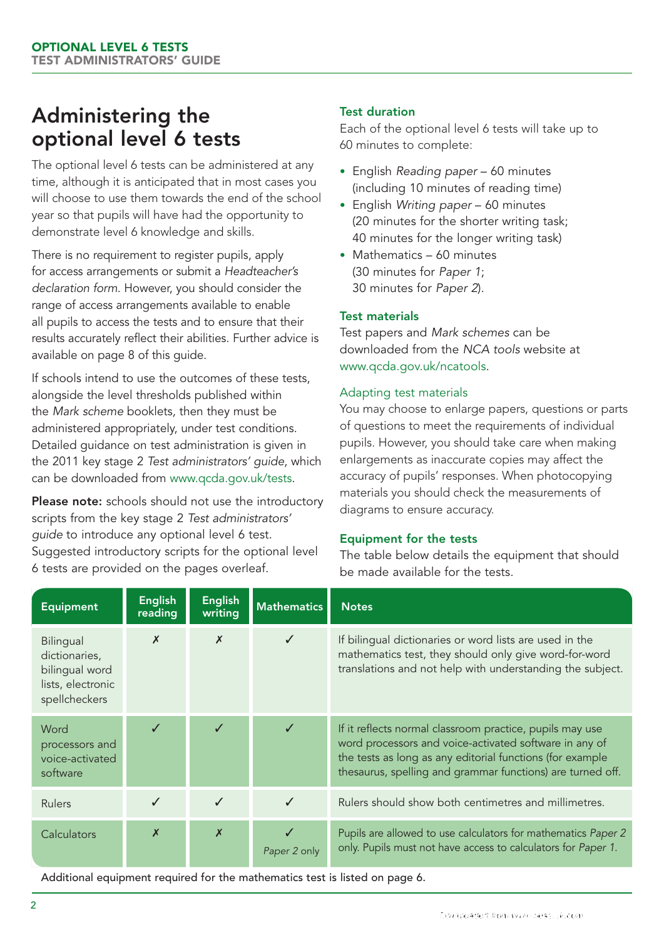## Administering the optional level 6 tests

The optional level 6 tests can be administered at any time, although it is anticipated that in most cases you will choose to use them towards the end of the school year so that pupils will have had the opportunity to demonstrate level 6 knowledge and skills.

There is no requirement to register pupils, apply for access arrangements or submit a *Headteacher's declaration form*. However, you should consider the range of access arrangements available to enable all pupils to access the tests and to ensure that their results accurately reflect their abilities. Further advice is available on page 8 of this guide.

If schools intend to use the outcomes of these tests, alongside the level thresholds published within the *Mark scheme* booklets*,* then they must be administered appropriately, under test conditions. Detailed guidance on test administration is given in the 2011 key stage 2 *Test administrators' guide*, which can be downloaded from www.qcda.gov.uk/tests.

Please note: schools should not use the introductory scripts from the key stage 2 *Test administrators' guide* to introduce any optional level 6 test. Suggested introductory scripts for the optional level 6 tests are provided on the pages overleaf.

## Test duration

Each of the optional level 6 tests will take up to 60 minutes to complete:

- • English *Reading paper* 60 minutes (including 10 minutes of reading time)
- • English *Writing paper* 60 minutes (20 minutes for the shorter writing task; 40 minutes for the longer writing task)
- Mathematics 60 minutes (30 minutes for *Paper 1*; 30 minutes for *Paper 2*).

## Test materials

Test papers and *Mark schemes* can be downloaded from the *NCA tools* website at www.qcda.gov.uk/ncatools.

### Adapting test materials

You may choose to enlarge papers, questions or parts of questions to meet the requirements of individual pupils. However, you should take care when making enlargements as inaccurate copies may affect the accuracy of pupils' responses. When photocopying materials you should check the measurements of diagrams to ensure accuracy.

#### Equipment for the tests

The table below details the equipment that should be made available for the tests.

| <b>Equipment</b>                                                                   | <b>English</b><br>reading | <b>English</b><br>writing | <b>Mathematics</b> | <b>Notes</b>                                                                                                                                                                                                                                  |
|------------------------------------------------------------------------------------|---------------------------|---------------------------|--------------------|-----------------------------------------------------------------------------------------------------------------------------------------------------------------------------------------------------------------------------------------------|
| Bilingual<br>dictionaries,<br>bilingual word<br>lists, electronic<br>spellcheckers | $\boldsymbol{x}$          | $\boldsymbol{x}$          |                    | If bilingual dictionaries or word lists are used in the<br>mathematics test, they should only give word-for-word<br>translations and not help with understanding the subject.                                                                 |
| Word<br>processors and<br>voice-activated<br>software                              |                           | $\checkmark$              | $\checkmark$       | If it reflects normal classroom practice, pupils may use<br>word processors and voice-activated software in any of<br>the tests as long as any editorial functions (for example<br>thesaurus, spelling and grammar functions) are turned off. |
| <b>Rulers</b>                                                                      | $\checkmark$              | $\checkmark$              | $\checkmark$       | Rulers should show both centimetres and millimetres.                                                                                                                                                                                          |
| Calculators                                                                        | $\boldsymbol{x}$          | $\boldsymbol{x}$          | Paper 2 only       | Pupils are allowed to use calculators for mathematics Paper 2<br>only. Pupils must not have access to calculators for Paper 1.                                                                                                                |

Additional equipment required for the mathematics test is listed on page 6.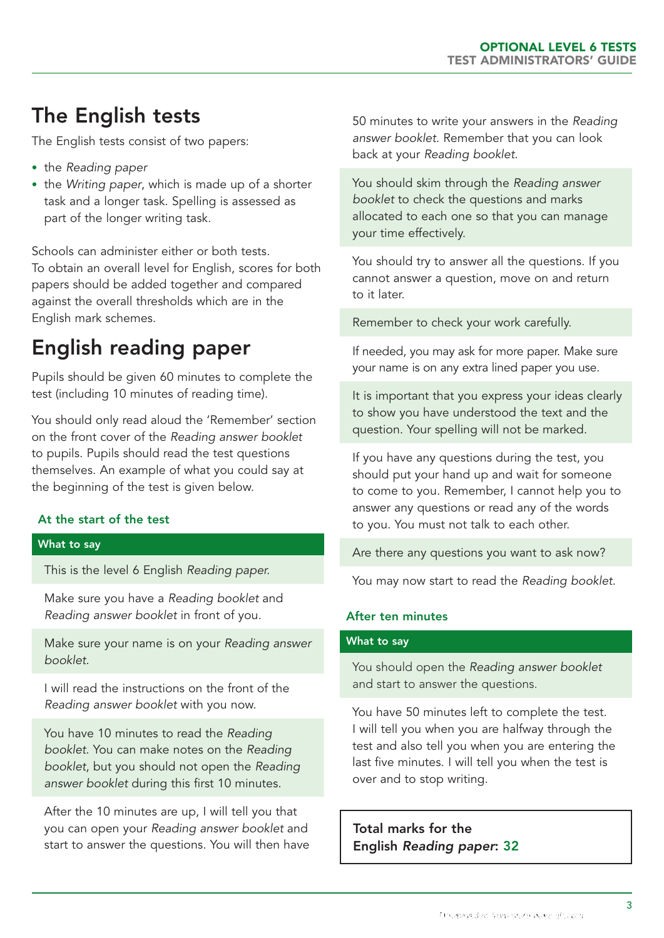# The English tests

The English tests consist of two papers:

- • the *Reading paper*
- the *Writing paper*, which is made up of a shorter task and a longer task. Spelling is assessed as part of the longer writing task.

Schools can administer either or both tests. To obtain an overall level for English, scores for both papers should be added together and compared against the overall thresholds which are in the English mark schemes.

# English reading paper

Pupils should be given 60 minutes to complete the test (including 10 minutes of reading time).

You should only read aloud the 'Remember' section on the front cover of the *Reading answer booklet* to pupils. Pupils should read the test questions themselves. An example of what you could say at the beginning of the test is given below.

## At the start of the test

#### What to say

This is the level 6 English *Reading paper.*

Make sure you have a *Reading booklet* and *Reading answer booklet* in front of you.

Make sure your name is on your *Reading answer booklet*.

I will read the instructions on the front of the *Reading answer booklet* with you now.

You have 10 minutes to read the *Reading booklet*. You can make notes on the *Reading booklet*, but you should not open the *Reading answer booklet* during this first 10 minutes.

After the 10 minutes are up, I will tell you that you can open your *Reading answer booklet* and start to answer the questions. You will then have 50 minutes to write your answers in the *Reading answer booklet*. Remember that you can look back at your *Reading booklet*.

You should skim through the *Reading answer booklet* to check the questions and marks allocated to each one so that you can manage your time effectively.

You should try to answer all the questions. If you cannot answer a question, move on and return to it later.

Remember to check your work carefully.

If needed, you may ask for more paper. Make sure your name is on any extra lined paper you use.

It is important that you express your ideas clearly to show you have understood the text and the question. Your spelling will not be marked.

If you have any questions during the test, you should put your hand up and wait for someone to come to you. Remember, I cannot help you to answer any questions or read any of the words to you. You must not talk to each other.

Are there any questions you want to ask now?

You may now start to read the *Reading booklet*.

#### After ten minutes

#### What to say

You should open the *Reading answer booklet*  and start to answer the questions.

You have 50 minutes left to complete the test. I will tell you when you are halfway through the test and also tell you when you are entering the last five minutes. I will tell you when the test is over and to stop writing.

Total marks for the English *Reading paper*: 32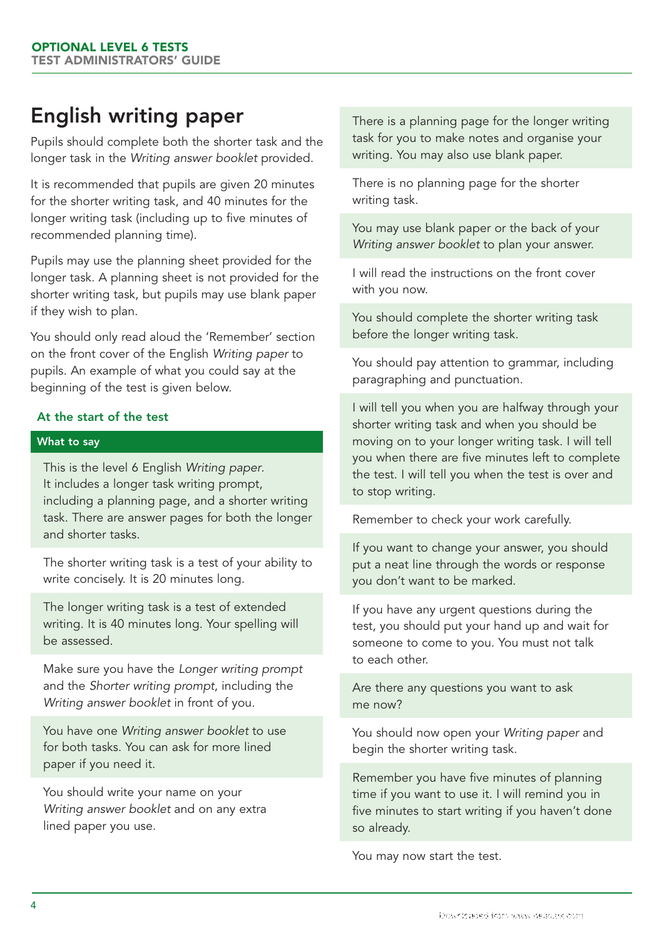# English writing paper

Pupils should complete both the shorter task and the longer task in the *Writing answer booklet* provided.

It is recommended that pupils are given 20 minutes for the shorter writing task, and 40 minutes for the longer writing task (including up to five minutes of recommended planning time).

Pupils may use the planning sheet provided for the longer task. A planning sheet is not provided for the shorter writing task, but pupils may use blank paper if they wish to plan.

You should only read aloud the 'Remember' section on the front cover of the English *Writing paper* to pupils. An example of what you could say at the beginning of the test is given below.

### At the start of the test

#### What to say

This is the level 6 English *Writing paper*. It includes a longer task writing prompt, including a planning page, and a shorter writing task. There are answer pages for both the longer and shorter tasks.

The shorter writing task is a test of your ability to write concisely. It is 20 minutes long.

The longer writing task is a test of extended writing. It is 40 minutes long. Your spelling will be assessed.

Make sure you have the *Longer writing prompt* and the *Shorter writing prompt*, including the *Writing answer booklet* in front of you.

You have one *Writing answer booklet* to use for both tasks. You can ask for more lined paper if you need it.

You should write your name on your *Writing answer booklet* and on any extra lined paper you use.

There is a planning page for the longer writing task for you to make notes and organise your writing. You may also use blank paper.

There is no planning page for the shorter writing task.

You may use blank paper or the back of your *Writing answer booklet* to plan your answer.

I will read the instructions on the front cover with you now.

You should complete the shorter writing task before the longer writing task.

You should pay attention to grammar, including paragraphing and punctuation.

I will tell you when you are halfway through your shorter writing task and when you should be moving on to your longer writing task. I will tell you when there are five minutes left to complete the test. I will tell you when the test is over and to stop writing.

Remember to check your work carefully.

If you want to change your answer, you should put a neat line through the words or response you don't want to be marked.

If you have any urgent questions during the test, you should put your hand up and wait for someone to come to you. You must not talk to each other.

Are there any questions you want to ask me now?

You should now open your *Writing paper* and begin the shorter writing task.

Remember you have five minutes of planning time if you want to use it. I will remind you in five minutes to start writing if you haven't done so already.

You may now start the test.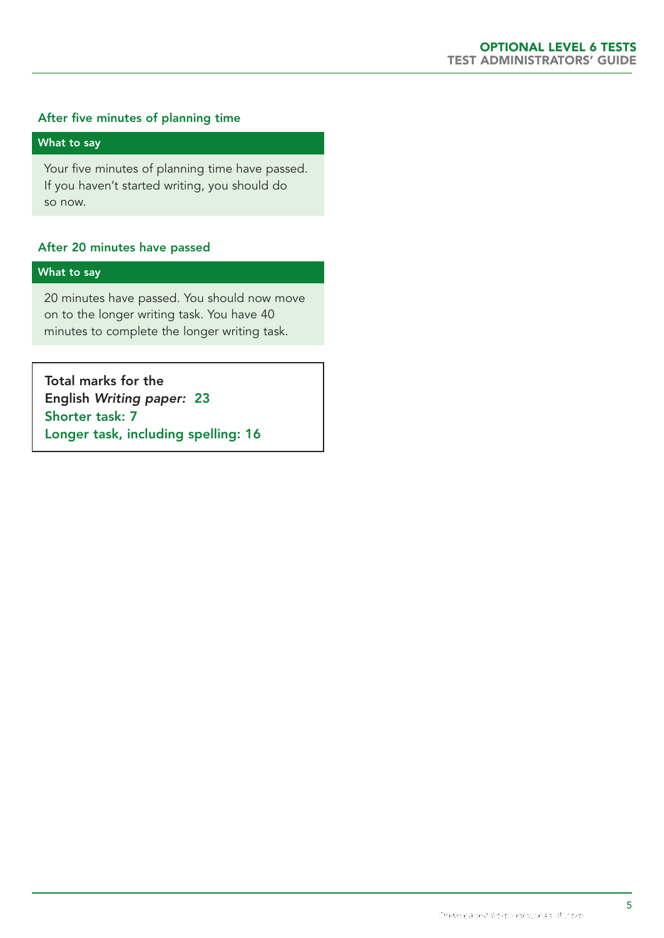### After five minutes of planning time

#### What to say

Your five minutes of planning time have passed. If you haven't started writing, you should do so now.

#### After 20 minutes have passed

#### What to say

20 minutes have passed. You should now move on to the longer writing task. You have 40 minutes to complete the longer writing task.

Total marks for the English *Writing paper:* 23 Shorter task: 7 Longer task, including spelling: 16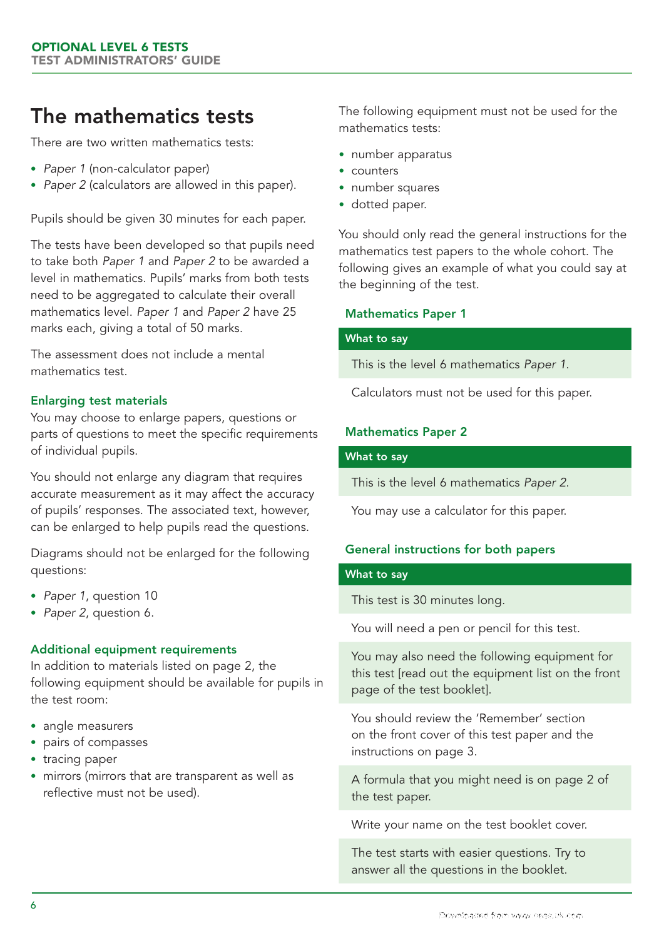## The mathematics tests

There are two written mathematics tests:

- Paper 1 (non-calculator paper)
- *Paper 2* (calculators are allowed in this paper).

Pupils should be given 30 minutes for each paper.

The tests have been developed so that pupils need to take both *Paper 1* and *Paper 2* to be awarded a level in mathematics. Pupils' marks from both tests need to be aggregated to calculate their overall mathematics level. *Paper 1* and *Paper 2* have 25 marks each, giving a total of 50 marks.

The assessment does not include a mental mathematics test.

### Enlarging test materials

You may choose to enlarge papers, questions or parts of questions to meet the specific requirements of individual pupils.

You should not enlarge any diagram that requires accurate measurement as it may affect the accuracy of pupils' responses. The associated text, however, can be enlarged to help pupils read the questions.

Diagrams should not be enlarged for the following questions:

- • *Paper 1*, question 10
- • *Paper 2*, question 6.

#### Additional equipment requirements

In addition to materials listed on page 2, the following equipment should be available for pupils in the test room:

- angle measurers
- pairs of compasses
- tracing paper
- mirrors (mirrors that are transparent as well as reflective must not be used).

The following equipment must not be used for the mathematics tests:

- number apparatus
- counters
- number squares
- dotted paper.

You should only read the general instructions for the mathematics test papers to the whole cohort. The following gives an example of what you could say at the beginning of the test.

#### Mathematics Paper 1

#### What to say

This is the level 6 mathematics *Paper 1*.

Calculators must not be used for this paper.

#### Mathematics Paper 2

#### What to say

This is the level 6 mathematics *Paper 2*.

You may use a calculator for this paper.

### General instructions for both papers

#### What to say

This test is 30 minutes long.

You will need a pen or pencil for this test.

You may also need the following equipment for this test [read out the equipment list on the front page of the test booklet].

You should review the 'Remember' section on the front cover of this test paper and the instructions on page 3.

A formula that you might need is on page 2 of the test paper.

Write your name on the test booklet cover.

The test starts with easier questions. Try to answer all the questions in the booklet.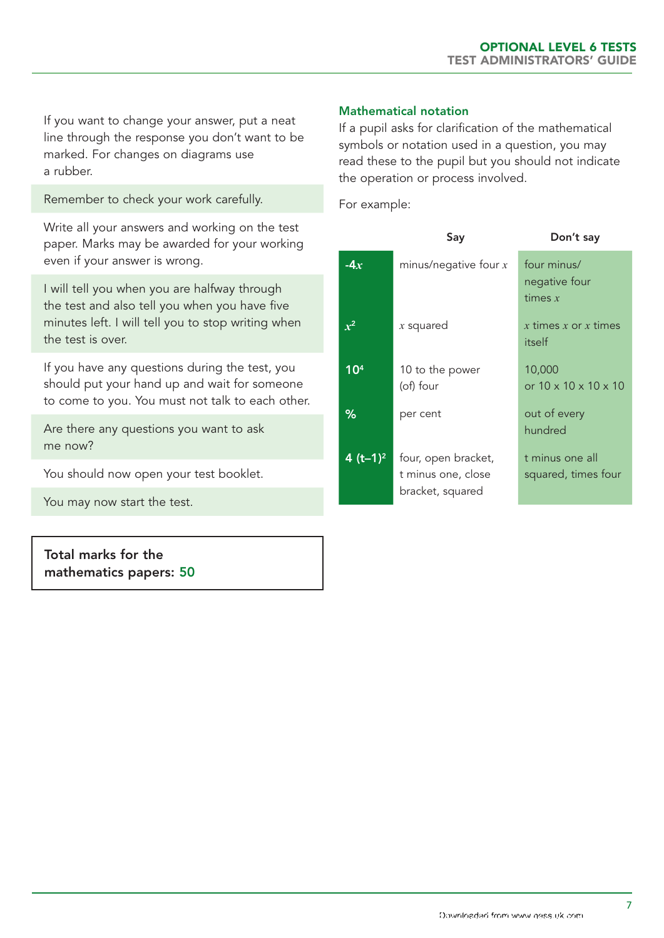If you want to change your answer, put a neat line through the response you don't want to be marked. For changes on diagrams use a rubber.

Remember to check your work carefully.

Write all your answers and working on the test paper. Marks may be awarded for your working even if your answer is wrong.

I will tell you when you are halfway through the test and also tell you when you have five minutes left. I will tell you to stop writing when the test is over.

If you have any questions during the test, you should put your hand up and wait for someone to come to you. You must not talk to each other.

Are there any questions you want to ask me now?

You should now open your test booklet.

You may now start the test.

Total marks for the mathematics papers: 50

#### Mathematical notation

If a pupil asks for clarification of the mathematical symbols or notation used in a question, you may read these to the pupil but you should not indicate the operation or process involved.

For example:

|                 | Say                                                           | Don't say                                       |
|-----------------|---------------------------------------------------------------|-------------------------------------------------|
| $-4x$           | minus/negative four $x$                                       | four minus/<br>negative four<br>times $x$       |
| $x^2$           | $x$ squared                                                   | x times x or x times<br>itself                  |
| 10 <sup>4</sup> | 10 to the power<br>(of) four                                  | 10,000<br>or $10 \times 10 \times 10 \times 10$ |
| ℅               | per cent                                                      | out of every<br>hundred                         |
| 4 $(t-1)^2$     | four, open bracket,<br>t minus one, close<br>bracket, squared | t minus one all<br>squared, times four          |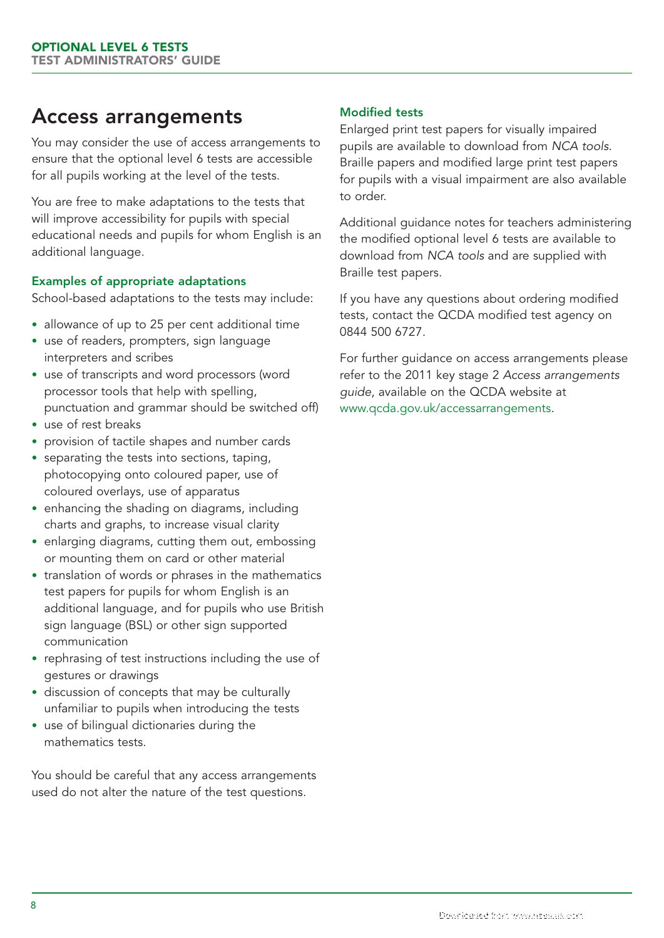## Access arrangements

You may consider the use of access arrangements to ensure that the optional level 6 tests are accessible for all pupils working at the level of the tests.

You are free to make adaptations to the tests that will improve accessibility for pupils with special educational needs and pupils for whom English is an additional language.

## Examples of appropriate adaptations

School-based adaptations to the tests may include:

- allowance of up to 25 per cent additional time
- use of readers, prompters, sign language interpreters and scribes
- use of transcripts and word processors (word processor tools that help with spelling, punctuation and grammar should be switched off)
- use of rest breaks
- provision of tactile shapes and number cards
- separating the tests into sections, taping, photocopying onto coloured paper, use of coloured overlays, use of apparatus
- enhancing the shading on diagrams, including charts and graphs, to increase visual clarity
- enlarging diagrams, cutting them out, embossing or mounting them on card or other material
- translation of words or phrases in the mathematics test papers for pupils for whom English is an additional language, and for pupils who use British sign language (BSL) or other sign supported communication
- rephrasing of test instructions including the use of gestures or drawings
- discussion of concepts that may be culturally unfamiliar to pupils when introducing the tests
- use of bilingual dictionaries during the mathematics tests.

You should be careful that any access arrangements used do not alter the nature of the test questions.

## Modified tests

Enlarged print test papers for visually impaired pupils are available to download from *NCA tools.* Braille papers and modified large print test papers for pupils with a visual impairment are also available to order.

Additional guidance notes for teachers administering the modified optional level 6 tests are available to download from *NCA tools* and are supplied with Braille test papers.

If you have any questions about ordering modified tests, contact the QCDA modified test agency on 0844 500 6727.

For further guidance on access arrangements please refer to the 2011 key stage 2 *Access arrangements guide*, available on the QCDA website at www.qcda.gov.uk/accessarrangements.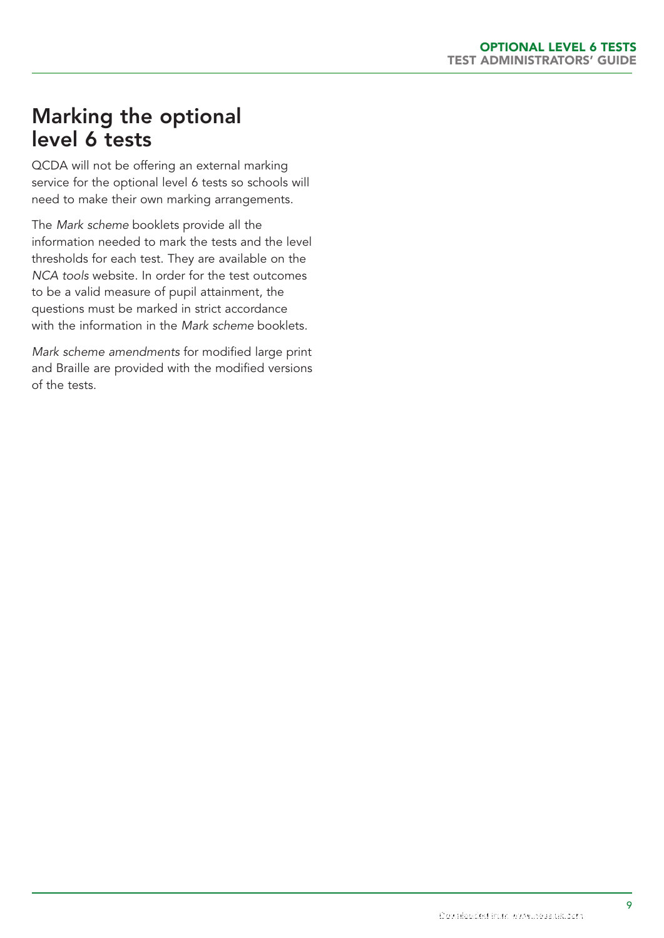## Marking the optional level 6 tests

QCDA will not be offering an external marking service for the optional level 6 tests so schools will need to make their own marking arrangements.

The *Mark scheme* booklets provide all the information needed to mark the tests and the level thresholds for each test. They are available on the *NCA tools* website. In order for the test outcomes to be a valid measure of pupil attainment, the questions must be marked in strict accordance with the information in the *Mark scheme* booklets.

*Mark scheme amendments* for modified large print and Braille are provided with the modified versions of the tests.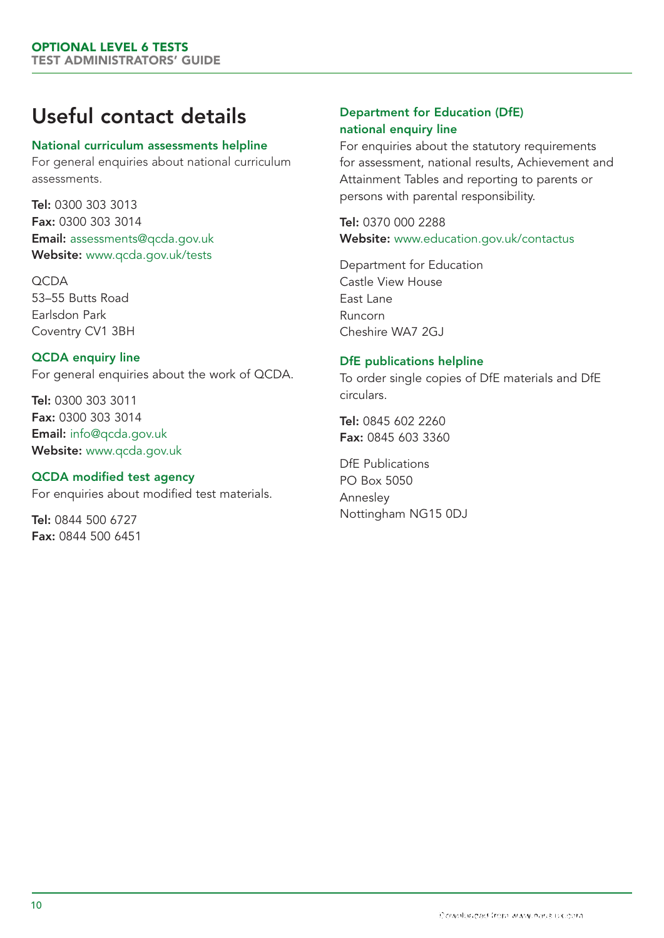# Useful contact details

#### National curriculum assessments helpline

For general enquiries about national curriculum assessments.

Tel: 0300 303 3013 Fax: 0300 303 3014 Email: assessments@qcda.gov.uk Website: www.qcda.gov.uk/tests

**OCDA** 53–55 Butts Road Earlsdon Park Coventry CV1 3BH

QCDA enquiry line For general enquiries about the work of QCDA.

Tel: 0300 303 3011 Fax: 0300 303 3014 Email: info@qcda.gov.uk Website: www.qcda.gov.uk

### QCDA modified test agency

For enquiries about modified test materials.

Tel: 0844 500 6727 Fax: 0844 500 6451

## Department for Education (DfE) national enquiry line

For enquiries about the statutory requirements for assessment, national results, Achievement and Attainment Tables and reporting to parents or persons with parental responsibility.

Tel: 0370 000 2288 Website: www.education.gov.uk/contactus

Department for Education Castle View House East Lane Runcorn Cheshire WA7 2GJ

#### DfE publications helpline

To order single copies of DfE materials and DfE circulars.

Tel: 0845 602 2260 Fax: 0845 603 3360

DfE Publications PO Box 5050 Annesley Nottingham NG15 0DJ